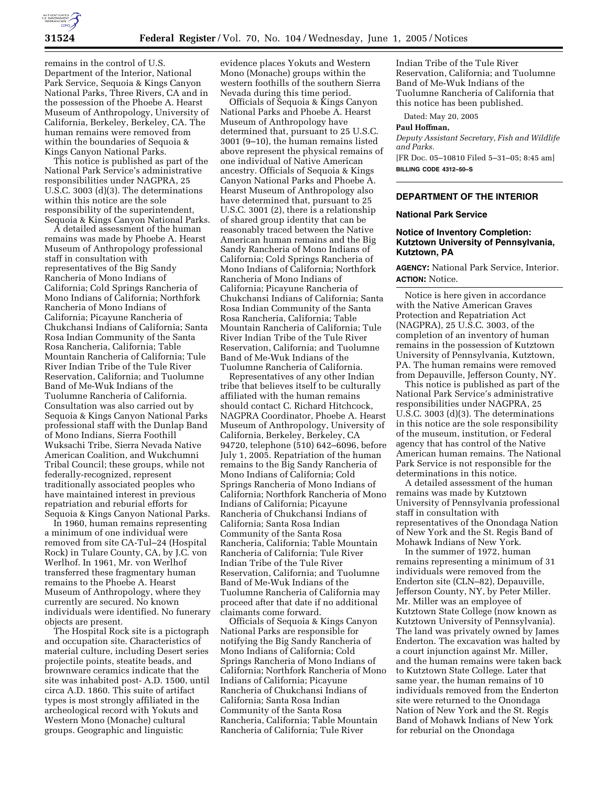

remains in the control of U.S. Department of the Interior, National Park Service, Sequoia & Kings Canyon National Parks, Three Rivers, CA and in the possession of the Phoebe A. Hearst Museum of Anthropology, University of California, Berkeley, Berkeley, CA. The human remains were removed from within the boundaries of Sequoia & Kings Canyon National Parks.

This notice is published as part of the National Park Service's administrative responsibilities under NAGPRA, 25 U.S.C. 3003 (d)(3). The determinations within this notice are the sole responsibility of the superintendent, Sequoia & Kings Canyon National Parks.

A detailed assessment of the human remains was made by Phoebe A. Hearst Museum of Anthropology professional staff in consultation with representatives of the Big Sandy Rancheria of Mono Indians of California; Cold Springs Rancheria of Mono Indians of California; Northfork Rancheria of Mono Indians of California; Picayune Rancheria of Chukchansi Indians of California; Santa Rosa Indian Community of the Santa Rosa Rancheria, California; Table Mountain Rancheria of California; Tule River Indian Tribe of the Tule River Reservation, California; and Tuolumne Band of Me-Wuk Indians of the Tuolumne Rancheria of California. Consultation was also carried out by Sequoia & Kings Canyon National Parks professional staff with the Dunlap Band of Mono Indians, Sierra Foothill Wuksachi Tribe, Sierra Nevada Native American Coalition, and Wukchumni Tribal Council; these groups, while not federally-recognized, represent traditionally associated peoples who have maintained interest in previous repatriation and reburial efforts for Sequoia & Kings Canyon National Parks.

In 1960, human remains representing a minimum of one individual were removed from site CA-Tul–24 (Hospital Rock) in Tulare County, CA, by J.C. von Werlhof. In 1961, Mr. von Werlhof transferred these fragmentary human remains to the Phoebe A. Hearst Museum of Anthropology, where they currently are secured. No known individuals were identified. No funerary objects are present.

The Hospital Rock site is a pictograph and occupation site. Characteristics of material culture, including Desert series projectile points, steatite beads, and brownware ceramics indicate that the site was inhabited post- A.D. 1500, until circa A.D. 1860. This suite of artifact types is most strongly affiliated in the archeological record with Yokuts and Western Mono (Monache) cultural groups. Geographic and linguistic

evidence places Yokuts and Western Mono (Monache) groups within the western foothills of the southern Sierra Nevada during this time period.

Officials of Sequoia & Kings Canyon National Parks and Phoebe A. Hearst Museum of Anthropology have determined that, pursuant to 25 U.S.C. 3001 (9–10), the human remains listed above represent the physical remains of one individual of Native American ancestry. Officials of Sequoia & Kings Canyon National Parks and Phoebe A. Hearst Museum of Anthropology also have determined that, pursuant to 25 U.S.C. 3001 (2), there is a relationship of shared group identity that can be reasonably traced between the Native American human remains and the Big Sandy Rancheria of Mono Indians of California; Cold Springs Rancheria of Mono Indians of California; Northfork Rancheria of Mono Indians of California; Picayune Rancheria of Chukchansi Indians of California; Santa Rosa Indian Community of the Santa Rosa Rancheria, California; Table Mountain Rancheria of California; Tule River Indian Tribe of the Tule River Reservation, California; and Tuolumne Band of Me-Wuk Indians of the Tuolumne Rancheria of California.

Representatives of any other Indian tribe that believes itself to be culturally affiliated with the human remains should contact C. Richard Hitchcock, NAGPRA Coordinator, Phoebe A. Hearst Museum of Anthropology, University of California, Berkeley, Berkeley, CA 94720, telephone (510) 642–6096, before July 1, 2005. Repatriation of the human remains to the Big Sandy Rancheria of Mono Indians of California; Cold Springs Rancheria of Mono Indians of California; Northfork Rancheria of Mono Indians of California; Picayune Rancheria of Chukchansi Indians of California; Santa Rosa Indian Community of the Santa Rosa Rancheria, California; Table Mountain Rancheria of California; Tule River Indian Tribe of the Tule River Reservation, California; and Tuolumne Band of Me-Wuk Indians of the Tuolumne Rancheria of California may proceed after that date if no additional claimants come forward.

Officials of Sequoia & Kings Canyon National Parks are responsible for notifying the Big Sandy Rancheria of Mono Indians of California; Cold Springs Rancheria of Mono Indians of California; Northfork Rancheria of Mono Indians of California; Picayune Rancheria of Chukchansi Indians of California; Santa Rosa Indian Community of the Santa Rosa Rancheria, California; Table Mountain Rancheria of California; Tule River

Indian Tribe of the Tule River Reservation, California; and Tuolumne Band of Me-Wuk Indians of the Tuolumne Rancheria of California that this notice has been published.

Dated: May 20, 2005

#### **Paul Hoffman,**

*Deputy Assistant Secretary, Fish and Wildlife and Parks.* [FR Doc. 05–10810 Filed 5–31–05; 8:45 am]

**BILLING CODE 4312–50–S**

## **DEPARTMENT OF THE INTERIOR**

#### **National Park Service**

#### **Notice of Inventory Completion: Kutztown University of Pennsylvania, Kutztown, PA**

**AGENCY:** National Park Service, Interior. **ACTION:** Notice.

Notice is here given in accordance with the Native American Graves Protection and Repatriation Act (NAGPRA), 25 U.S.C. 3003, of the completion of an inventory of human remains in the possession of Kutztown University of Pennsylvania, Kutztown, PA. The human remains were removed from Depauville, Jefferson County, NY.

This notice is published as part of the National Park Service's administrative responsibilities under NAGPRA, 25 U.S.C. 3003 (d)(3). The determinations in this notice are the sole responsibility of the museum, institution, or Federal agency that has control of the Native American human remains. The National Park Service is not responsible for the determinations in this notice.

A detailed assessment of the human remains was made by Kutztown University of Pennsylvania professional staff in consultation with representatives of the Onondaga Nation of New York and the St. Regis Band of Mohawk Indians of New York.

In the summer of 1972, human remains representing a minimum of 31 individuals were removed from the Enderton site (CLN–82), Depauville, Jefferson County, NY, by Peter Miller. Mr. Miller was an employee of Kutztown State College (now known as Kutztown University of Pennsylvania). The land was privately owned by James Enderton. The excavation was halted by a court injunction against Mr. Miller, and the human remains were taken back to Kutztown State College. Later that same year, the human remains of 10 individuals removed from the Enderton site were returned to the Onondaga Nation of New York and the St. Regis Band of Mohawk Indians of New York for reburial on the Onondaga